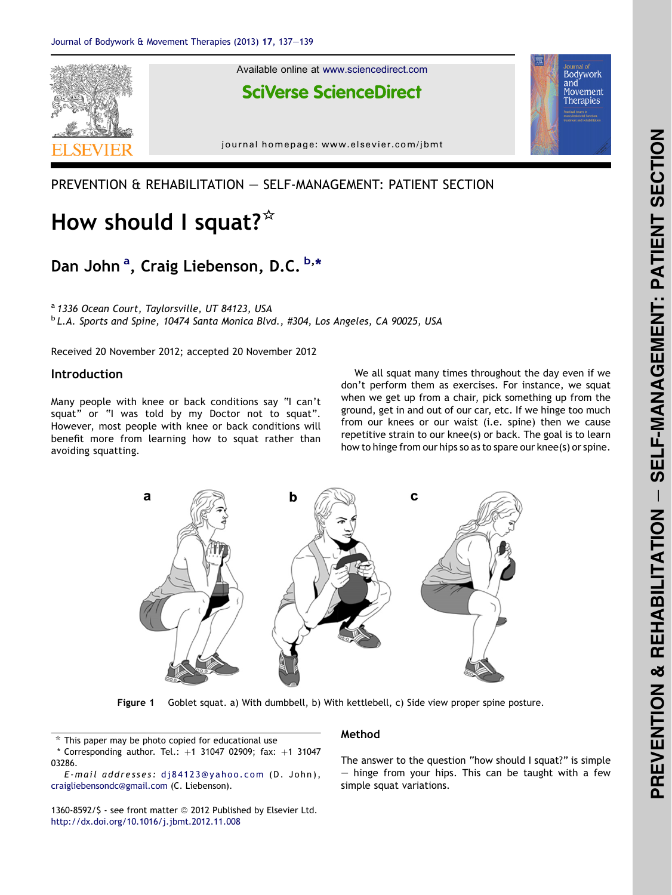<span id="page-0-0"></span>

### PREVENTION & REHABILITATION - SELF-MANAGEMENT: PATIENT SECTION

# How should I squat? $*$

## Dan John<sup>a</sup>, Craig Liebenson, D.C. b,\*

<sup>a</sup> 1336 Ocean Court, Taylorsville, UT 84123, USA <sup>b</sup> L.A. Sports and Spine, 10474 Santa Monica Blvd., #304, Los Angeles, CA 90025, USA

Received 20 November 2012; accepted 20 November 2012

#### Introduction

Many people with knee or back conditions say "I can't squat" or "I was told by my Doctor not to squat". However, most people with knee or back conditions will benefit more from learning how to squat rather than avoiding squatting.

We all squat many times throughout the day even if we don't perform them as exercises. For instance, we squat when we get up from a chair, pick something up from the ground, get in and out of our car, etc. If we hinge too much from our knees or our waist (i.e. spine) then we cause repetitive strain to our knee(s) or back. The goal is to learn how to hinge from our hips so as to spare our knee(s) or spine.



Figure 1 Goblet squat. a) With dumbbell, b) With kettlebell, c) Side view proper spine posture.

 $*$  This paper may be photo copied for educational use

\* Corresponding author. Tel.:  $+1$  31047 02909; fax:  $+1$  31047 03286.

E-mail addresses: [dj84123@yahoo.com](mailto:dj84123@yahoo.com) (D. John), [craigliebensondc@gmail.com](mailto:craigliebensondc@gmail.com) (C. Liebenson).

1360-8592/\$ - see front matter @ 2012 Published by Elsevier Ltd. <http://dx.doi.org/10.1016/j.jbmt.2012.11.008>

#### Method

The answer to the question "how should I squat?" is simple  $-$  hinge from your hips. This can be taught with a few simple squat variations.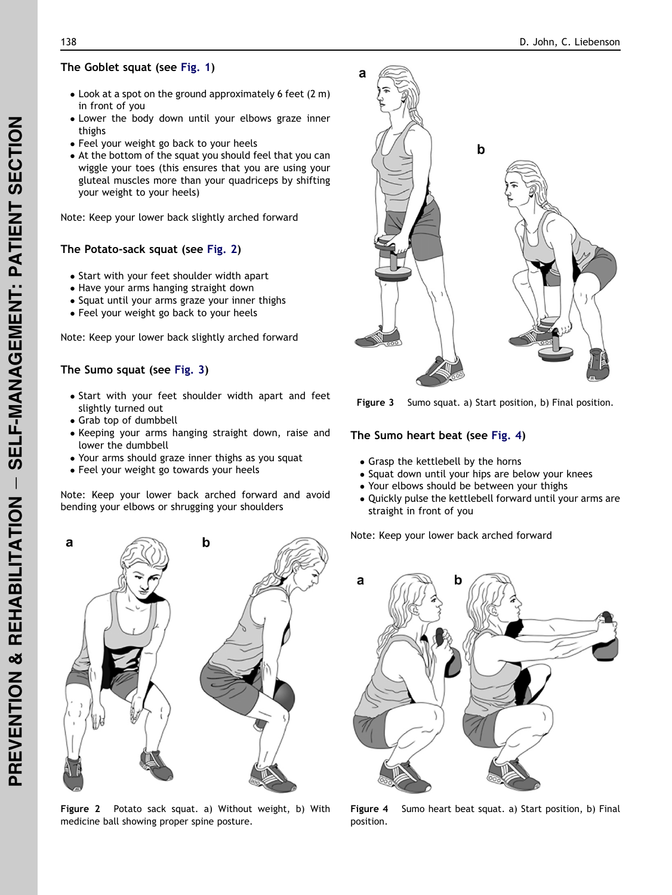- $\bullet$  Look at a spot on the ground approximately 6 feet (2 m) in front of you
- Lower the body down until your elbows graze inner thighs
- Feel your weight go back to your heels
- At the bottom of the squat you should feel that you can wiggle your toes (this ensures that you are using your gluteal muscles more than your quadriceps by shifting your weight to your heels)

Note: Keep your lower back slightly arched forward

#### The Potato-sack squat (see Fig. 2)

- Start with your feet shoulder width apart
- Have your arms hanging straight down
- Squat until your arms graze your inner thighs
- Feel your weight go back to your heels

Note: Keep your lower back slightly arched forward

#### The Sumo squat (see Fig. 3)

- Start with your feet shoulder width apart and feet slightly turned out
- Grab top of dumbbell
- Keeping your arms hanging straight down, raise and lower the dumbbell
- Your arms should graze inner thighs as you squat
- Feel your weight go towards your heels

Note: Keep your lower back arched forward and avoid bending your elbows or shrugging your shoulders



Figure 2 Potato sack squat. a) Without weight, b) With medicine ball showing proper spine posture.



Figure 3 Sumo squat. a) Start position, b) Final position.

#### The Sumo heart beat (see Fig. 4)

- Grasp the kettlebell by the horns
- Squat down until your hips are below your knees
- Your elbows should be between your thighs
- Quickly pulse the kettlebell forward until your arms are straight in front of you

Note: Keep your lower back arched forward



Figure 4 Sumo heart beat squat. a) Start position, b) Final position.